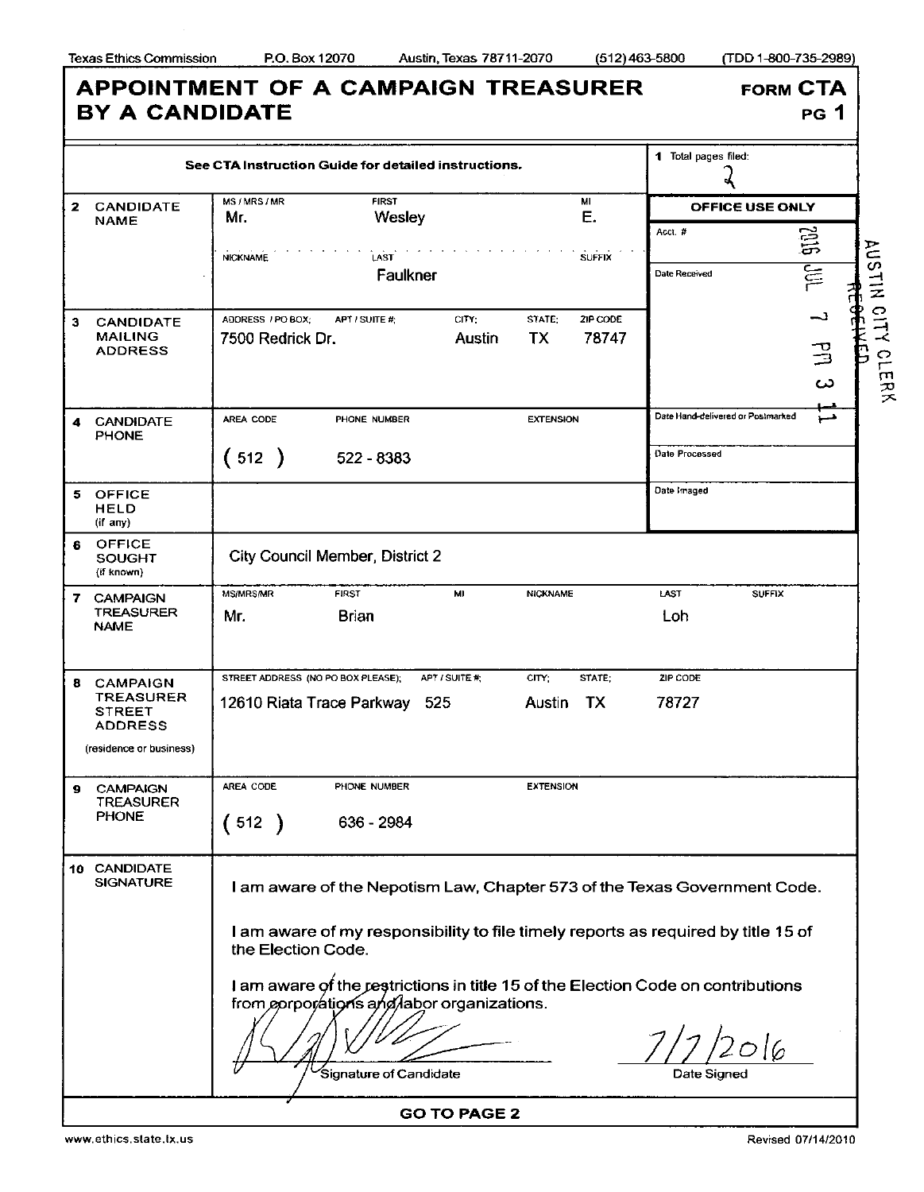|                                                                              | See CTA Instruction Guide for detailed instructions.                                                                           |                                                 |                   | 1 Total pages filed:              |               |
|------------------------------------------------------------------------------|--------------------------------------------------------------------------------------------------------------------------------|-------------------------------------------------|-------------------|-----------------------------------|---------------|
|                                                                              |                                                                                                                                |                                                 |                   |                                   |               |
| 2<br><b>CANDIDATE</b><br><b>NAME</b>                                         | <b>FIRST</b><br>MS / MRS / MR<br>Wesley<br>Mr.                                                                                 |                                                 | MI<br>E.          | <b>OFFICE USE ONLY</b>            |               |
|                                                                              |                                                                                                                                |                                                 |                   | Acct #                            | <u>ម្ពុជា</u> |
|                                                                              | <b>NICKNAME</b><br>LAST<br>Faulkner                                                                                            |                                                 | <b>SUFFIX</b>     | Date Received                     | 들             |
| <b>CANDIDATE</b><br>з<br><b>MAILING</b><br><b>ADDRESS</b>                    | ADDRESS / PO BOX:<br>APT / SUITE #:<br>7500 Redrick Dr.                                                                        | CITY:<br>STATE:<br>TX<br>Austin                 | ZIP CODE<br>78747 |                                   | د۔<br>马<br>ယ  |
| <b>CANDIDATE</b><br>4<br><b>PHONE</b>                                        | AREA CODE<br>PHONE NUMBER                                                                                                      | <b>EXTENSION</b>                                |                   | Date Hand-delivered or Postmarked | ھىز           |
|                                                                              | (512)<br>522 - 8383                                                                                                            |                                                 |                   | Date Processed                    |               |
| <b>OFFICE</b><br>5.<br><b>HELD</b><br>(if any)                               |                                                                                                                                |                                                 |                   | Date Imaged                       |               |
| OFFICE<br>6<br><b>SOUGHT</b><br>(if known)                                   | City Council Member, District 2                                                                                                |                                                 |                   |                                   |               |
| <b>CAMPAIGN</b><br>7.<br><b>TREASURER</b><br><b>NAME</b>                     | <b>MS/MRS/MR</b><br><b>FIRST</b><br><b>Brian</b><br>Mr.                                                                        | MI<br><b>NICKNAME</b>                           |                   | LAST<br>Loh                       | <b>SUFFIX</b> |
| <b>CAMPAIGN</b><br>8.<br><b>TREASURER</b><br><b>STREET</b><br><b>ADDRESS</b> | STREET ADDRESS (NO PO BOX PLEASE).<br>12610 Riata Trace Parkway                                                                | APT / SUITE #:<br>CITY:<br>525<br><b>Austin</b> | STATE:<br>TX      | ZIP CODE<br>78727                 |               |
| (residence or business)                                                      |                                                                                                                                |                                                 |                   |                                   |               |
| <b>CAMPAIGN</b><br>g<br><b>TREASURER</b><br><b>PHONE</b>                     | AREA CODE<br>PHONE NUMBER<br>(512)<br>636 - 2984                                                                               | <b>EXTENSION</b>                                |                   |                                   |               |
| 10 CANDIDATE<br><b>SIGNATURE</b>                                             | I am aware of the Nepotism Law, Chapter 573 of the Texas Government Code.                                                      |                                                 |                   |                                   |               |
|                                                                              | I am aware of my responsibility to file timely reports as required by title 15 of<br>the Election Code.                        |                                                 |                   |                                   |               |
|                                                                              | I am aware of the restrictions in title 15 of the Election Code on contributions<br>from eproprátions and labor organizations. |                                                 |                   |                                   |               |
|                                                                              | Signature of Candidate                                                                                                         |                                                 |                   | Date Signed                       |               |

www.ethics.state.tx.us Revised 07/14/2010